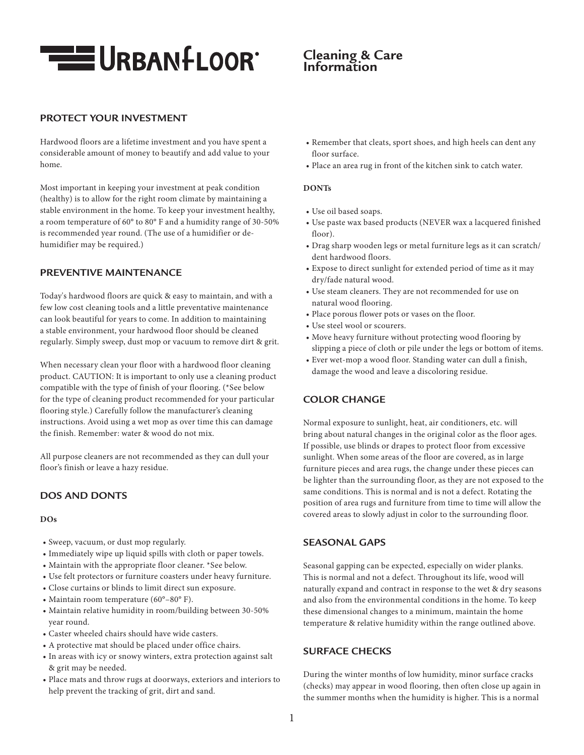

# **Cleaning & Care Information**

## **PROTECT YOUR INVESTMENT**

Hardwood floors are a lifetime investment and you have spent a considerable amount of money to beautify and add value to your home.

Most important in keeping your investment at peak condition (healthy) is to allow for the right room climate by maintaining a stable environment in the home. To keep your investment healthy, a room temperature of 60° to 80° F and a humidity range of 30-50% is recommended year round. (The use of a humidifier or dehumidifier may be required.)

## **PREVENTIVE MAINTENANCE**

Today's hardwood floors are quick & easy to maintain, and with a few low cost cleaning tools and a little preventative maintenance can look beautiful for years to come. In addition to maintaining a stable environment, your hardwood floor should be cleaned regularly. Simply sweep, dust mop or vacuum to remove dirt & grit.

When necessary clean your floor with a hardwood floor cleaning product. CAUTION: It is important to only use a cleaning product compatible with the type of finish of your flooring. (\*See below for the type of cleaning product recommended for your particular flooring style.) Carefully follow the manufacturer's cleaning instructions. Avoid using a wet mop as over time this can damage the finish. Remember: water & wood do not mix.

All purpose cleaners are not recommended as they can dull your floor's finish or leave a hazy residue.

## **DOS AND DONTS**

#### **DOs**

- Sweep, vacuum, or dust mop regularly.
- Immediately wipe up liquid spills with cloth or paper towels.
- Maintain with the appropriate floor cleaner. \*See below.
- Use felt protectors or furniture coasters under heavy furniture.
- Close curtains or blinds to limit direct sun exposure.
- Maintain room temperature (60°–80° F).
- Maintain relative humidity in room/building between 30-50% year round.
- Caster wheeled chairs should have wide casters.
- A protective mat should be placed under office chairs.
- In areas with icy or snowy winters, extra protection against salt & grit may be needed.
- Place mats and throw rugs at doorways, exteriors and interiors to help prevent the tracking of grit, dirt and sand.
- Remember that cleats, sport shoes, and high heels can dent any floor surface.
- Place an area rug in front of the kitchen sink to catch water.

### **DONTs**

- Use oil based soaps.
- Use paste wax based products (NEVER wax a lacquered finished floor).
- Drag sharp wooden legs or metal furniture legs as it can scratch/ dent hardwood floors.
- Expose to direct sunlight for extended period of time as it may dry/fade natural wood.
- Use steam cleaners. They are not recommended for use on natural wood flooring.
- Place porous flower pots or vases on the floor.
- Use steel wool or scourers.
- Move heavy furniture without protecting wood flooring by slipping a piece of cloth or pile under the legs or bottom of items.
- Ever wet-mop a wood floor. Standing water can dull a finish, damage the wood and leave a discoloring residue.

## **COLOR CHANGE**

Normal exposure to sunlight, heat, air conditioners, etc. will bring about natural changes in the original color as the floor ages. If possible, use blinds or drapes to protect floor from excessive sunlight. When some areas of the floor are covered, as in large furniture pieces and area rugs, the change under these pieces can be lighter than the surrounding floor, as they are not exposed to the same conditions. This is normal and is not a defect. Rotating the position of area rugs and furniture from time to time will allow the covered areas to slowly adjust in color to the surrounding floor.

### **SEASONAL GAPS**

Seasonal gapping can be expected, especially on wider planks. This is normal and not a defect. Throughout its life, wood will naturally expand and contract in response to the wet & dry seasons and also from the environmental conditions in the home. To keep these dimensional changes to a minimum, maintain the home temperature & relative humidity within the range outlined above.

## **SURFACE CHECKS**

During the winter months of low humidity, minor surface cracks (checks) may appear in wood flooring, then often close up again in the summer months when the humidity is higher. This is a normal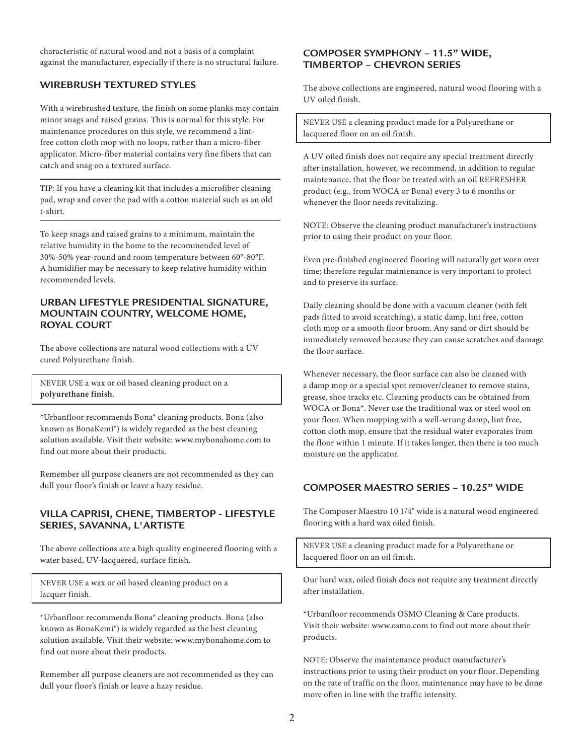characteristic of natural wood and not a basis of a complaint against the manufacturer, especially if there is no structural failure.

## **WIREBRUSH TEXTURED STYLES**

With a wirebrushed texture, the finish on some planks may contain minor snags and raised grains. This is normal for this style. For maintenance procedures on this style, we recommend a lintfree cotton cloth mop with no loops, rather than a micro-fiber applicator. Micro-fiber material contains very fine fibers that can catch and snag on a textured surface.

TIP: If you have a cleaning kit that includes a microfiber cleaning pad, wrap and cover the pad with a cotton material such as an old t-shirt.

To keep snags and raised grains to a minimum, maintain the relative humidity in the home to the recommended level of 30%-50% year-round and room temperature between 60°-80°F. A humidifier may be necessary to keep relative humidity within recommended levels.

### **URBAN LIFESTYLE PRESIDENTIAL SIGNATURE, MOUNTAIN COUNTRY, WELCOME HOME, ROYAL COURT**

The above collections are natural wood collections with a UV cured Polyurethane finish.

NEVER USE a wax or oil based cleaning product on a **polyurethane finish.**

\*Urbanfloor recommends Bona® cleaning products. Bona (also known as BonaKemi®) is widely regarded as the best cleaning solution available. Visit their website: www.mybonahome.com to find out more about their products.

Remember all purpose cleaners are not recommended as they can dull your floor's finish or leave a hazy residue.

## **VILLA CAPRISI, CHENE, TIMBERTOP - LIFESTYLE SERIES, SAVANNA, L'ARTISTE**

The above collections are a high quality engineered flooring with a water based, UV-lacquered, surface finish.

NEVER USE a wax or oil based cleaning product on a lacquer finish.

\*Urbanfloor recommends Bona® cleaning products. Bona (also known as BonaKemi®) is widely regarded as the best cleaning solution available. Visit their website: www.mybonahome.com to find out more about their products.

Remember all purpose cleaners are not recommended as they can dull your floor's finish or leave a hazy residue.

### **COMPOSER SYMPHONY – 11.5" WIDE, TIMBERTOP – CHEVRON SERIES**

The above collections are engineered, natural wood flooring with a UV oiled finish.

NEVER USE a cleaning product made for a Polyurethane or lacquered floor on an oil finish.

A UV oiled finish does not require any special treatment directly after installation, however, we recommend, in addition to regular maintenance, that the floor be treated with an oil REFRESHER product (e.g., from WOCA or Bona) every 3 to 6 months or whenever the floor needs revitalizing.

NOTE: Observe the cleaning product manufacturer's instructions prior to using their product on your floor.

Even pre-finished engineered flooring will naturally get worn over time; therefore regular maintenance is very important to protect and to preserve its surface.

Daily cleaning should be done with a vacuum cleaner (with felt pads fitted to avoid scratching), a static damp, lint free, cotton cloth mop or a smooth floor broom. Any sand or dirt should be immediately removed because they can cause scratches and damage the floor surface.

Whenever necessary, the floor surface can also be cleaned with a damp mop or a special spot remover/cleaner to remove stains, grease, shoe tracks etc. Cleaning products can be obtained from WOCA or Bona\*. Never use the traditional wax or steel wool on your floor. When mopping with a well-wrung damp, lint free, cotton cloth mop, ensure that the residual water evaporates from the floor within 1 minute. If it takes longer, then there is too much moisture on the applicator.

## **COMPOSER MAESTRO SERIES – 10.25" WIDE**

The Composer Maestro 10 1/4" wide is a natural wood engineered flooring with a hard wax oiled finish.

NEVER USE a cleaning product made for a Polyurethane or lacquered floor on an oil finish.

Our hard wax, oiled finish does not require any treatment directly after installation.

\*Urbanfloor recommends OSMO Cleaning & Care products. Visit their website: www.osmo.com to find out more about their products.

NOTE: Observe the maintenance product manufacturer's instructions prior to using their product on your floor. Depending on the rate of traffic on the floor, maintenance may have to be done more often in line with the traffic intensity.